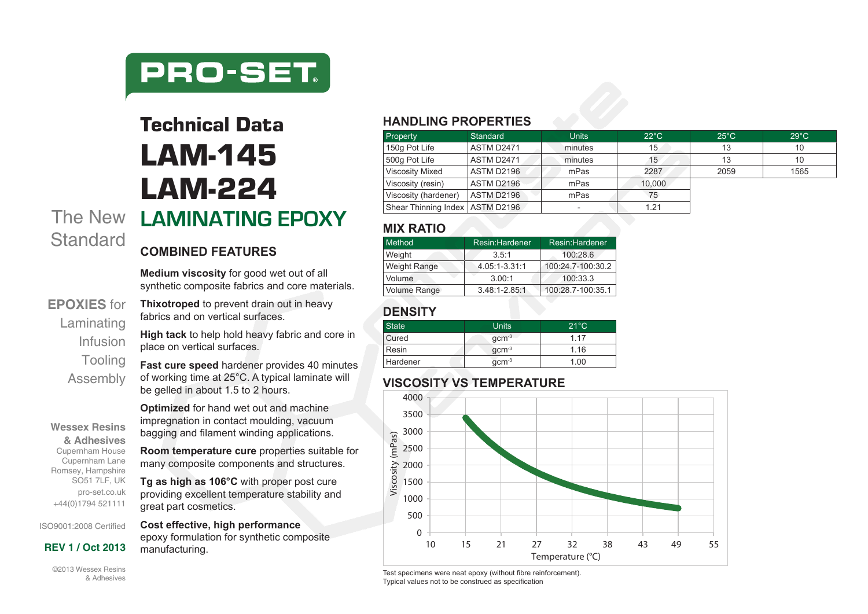

# The New **LAMINATING EPOXY** Technical Data LAM-145 LAM-224

### **COMBINED FEATURES**

**Medium viscosity** for good wet out of all synthetic composite fabrics and core materials.

**EPOXIES** for Laminating Infusion **Tooling** Assembly

**Wessex Resins & Adhesives** Cupernham House Cupernham Lane Romsey, Hampshire SO51 7LF, UK pro-set.co.uk +44(0)1794 521111

**Standard** 

**High tack** to help hold heavy fabric and core in place on vertical surfaces.

**Thixotroped** to prevent drain out in heavy

fabrics and on vertical surfaces.

**Fast cure speed** hardener provides 40 minutes of working time at 25°C. A typical laminate will be gelled in about 1.5 to 2 hours.

**Optimized** for hand wet out and machine impregnation in contact moulding, vacuum bagging and filament winding applications.

**Room temperature cure** properties suitable for many composite components and structures.

**Tg as high as 106°C** with proper post cure providing excellent temperature stability and great part cosmetics.

**Cost effective, high performance**  epoxy formulation for synthetic composite **REV 1 / Oct 2013** manufacturing.

#### ©2013 Wessex Resins & Adhesives

ISO9001:2008 Certified

#### **HANDLING PROPERTIES**

| Property                          | Standard          | <b>Units</b> | $22^{\circ}$ C | $25^{\circ}$ C | $29^{\circ}$ C |
|-----------------------------------|-------------------|--------------|----------------|----------------|----------------|
| 150g Pot Life                     | ASTM D2471        | minutes      | 15             | 13             | 10             |
| 500g Pot Life                     | ASTM D2471        | minutes      | 15             | 13             | 10             |
| <b>Viscosity Mixed</b>            | ASTM D2196        | mPas         | 2287           | 2059           | 1565           |
| Viscosity (resin)                 | <b>ASTM D2196</b> | mPas         | 10.000         |                |                |
| Viscosity (hardener)              | <b>ASTM D2196</b> | mPas         | 75             |                |                |
| Shear Thinning Index   ASTM D2196 |                   |              | 1.21           |                |                |

#### **MIX RATIO**

| Method       | Resin: Hardener   | Resin:Hardener    |  |  |
|--------------|-------------------|-------------------|--|--|
| Weight       | 3.5:1             | 100:28.6          |  |  |
| Weight Range | 4.05:1-3.31:1     | 100:24.7-100:30.2 |  |  |
| Volume       | 3.00:1            | 100:33.3          |  |  |
| Volume Range | $3.48:1 - 2.85:1$ | 100:28.7-100:35.1 |  |  |

### **DENSITY**

| <b>State</b> | Units   | $21^{\circ}$ C |
|--------------|---------|----------------|
| Cured        | $qcm-3$ | 1 17           |
| Resin        | $qcm-3$ | 1 1 6          |
| Hardener     | $qcm-3$ | 1.00           |

#### **VISCOSITY VS TEMPERATURE**



Test specimens were neat epoxy (without fibre reinforcement). Typical values not to be construed as specification